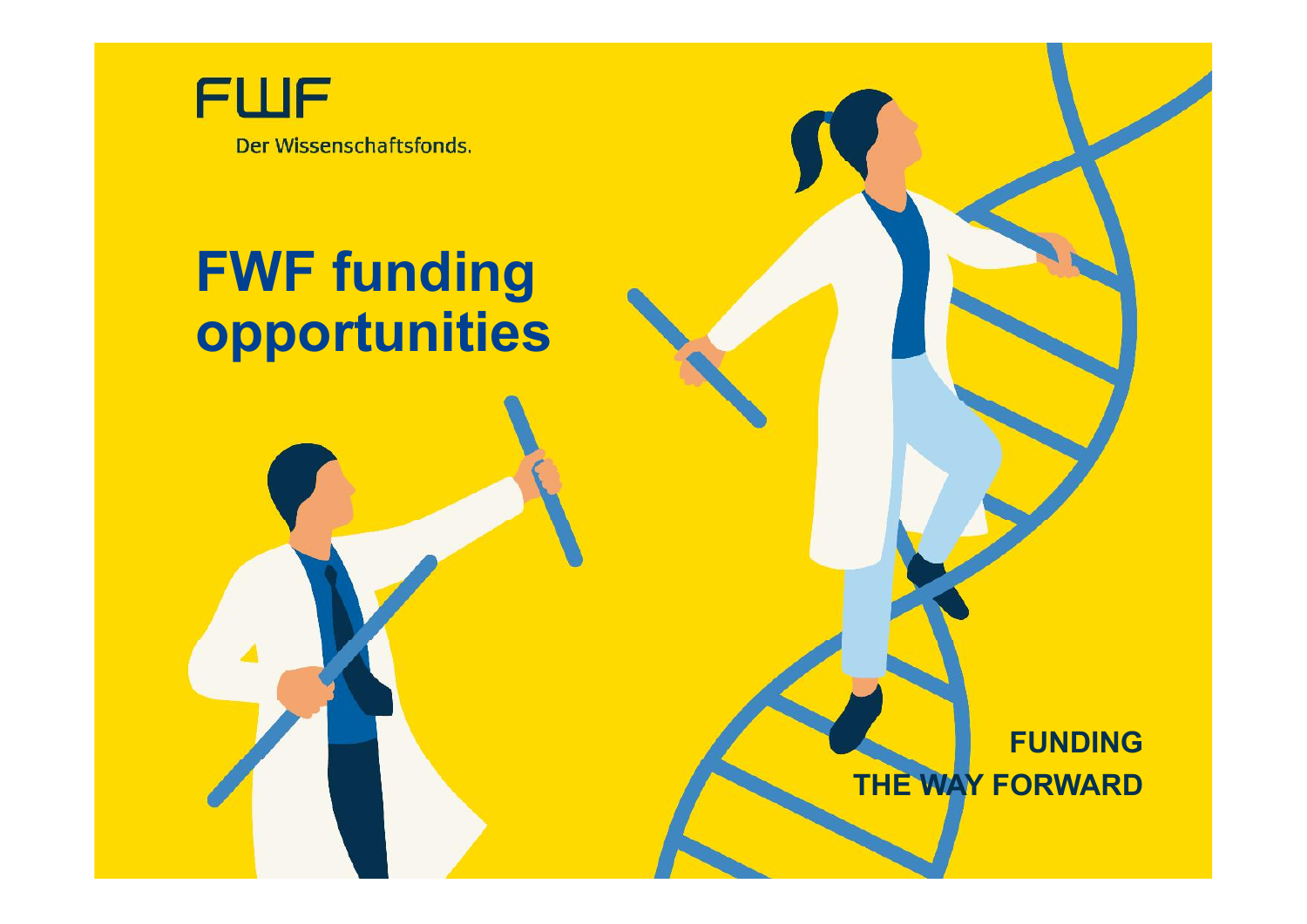

# **FWF funding opportunities**

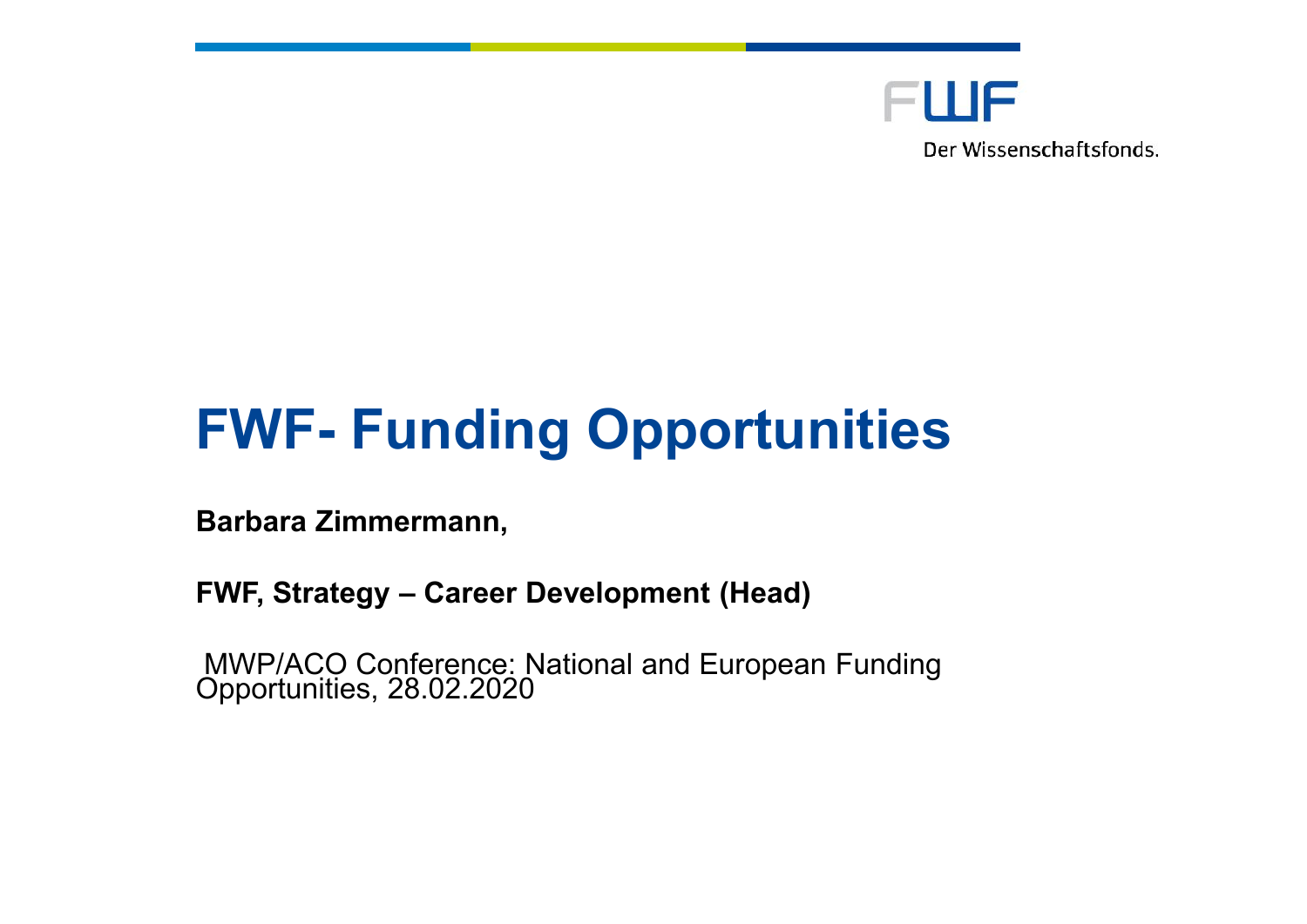

# **FWF- Funding Opportunities**

**Barbara Zimmermann,**

**FWF, Strategy – Career Development (Head)**

MWP/ACO Conference: National and European Funding Opportunities, 28.02.2020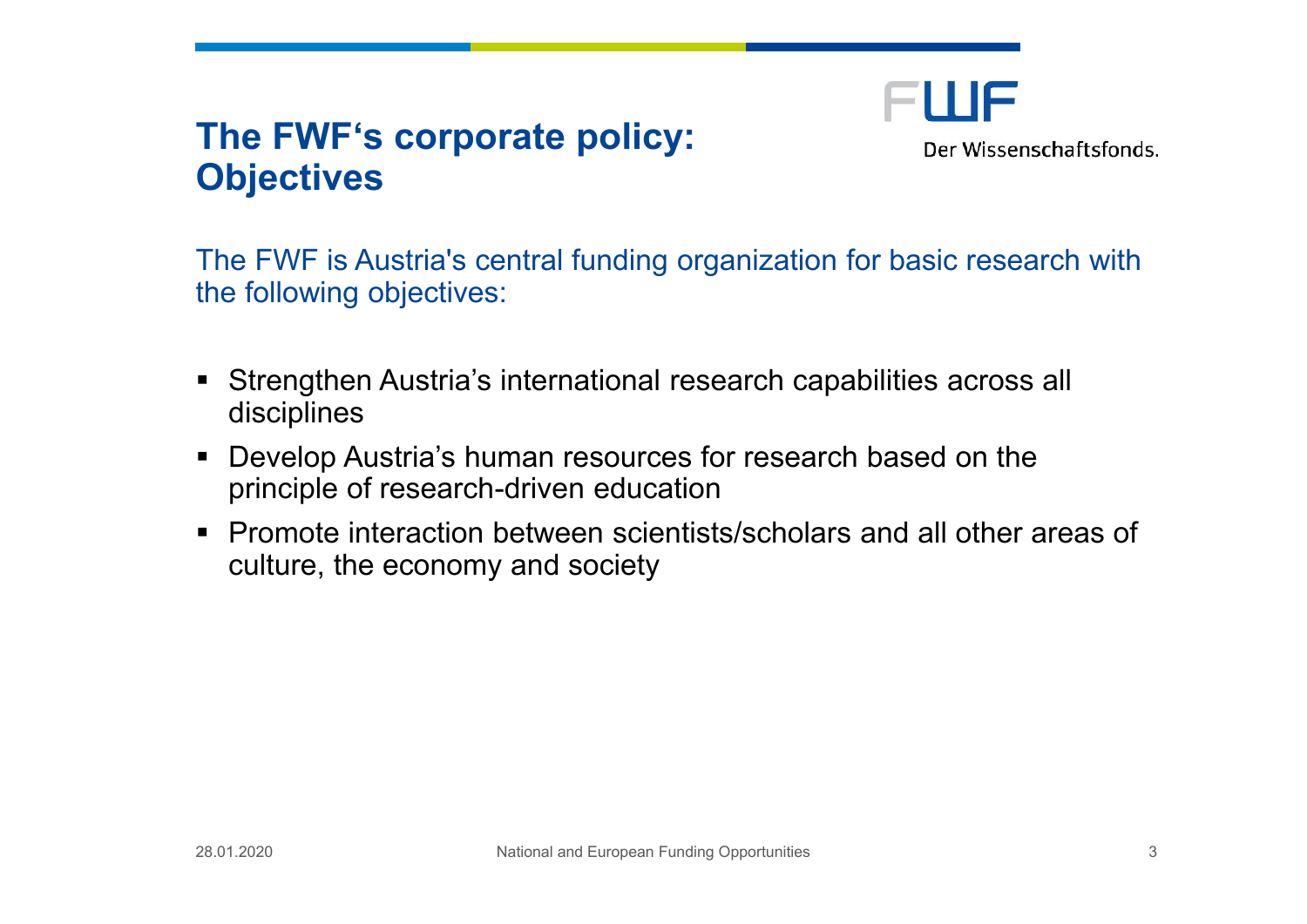## **The FWF's corporate policy: Objectives**

FWF Der Wissenschaftsfonds.

The FWF is Austria's central funding organization for basic research with the following objectives:

- Strengthen Austria's international research capabilities across all disciplines
- Develop Austria's human resources for research based on the principle of research-driven education
- Promote interaction between scientists/scholars and all other areas of culture, the economy and society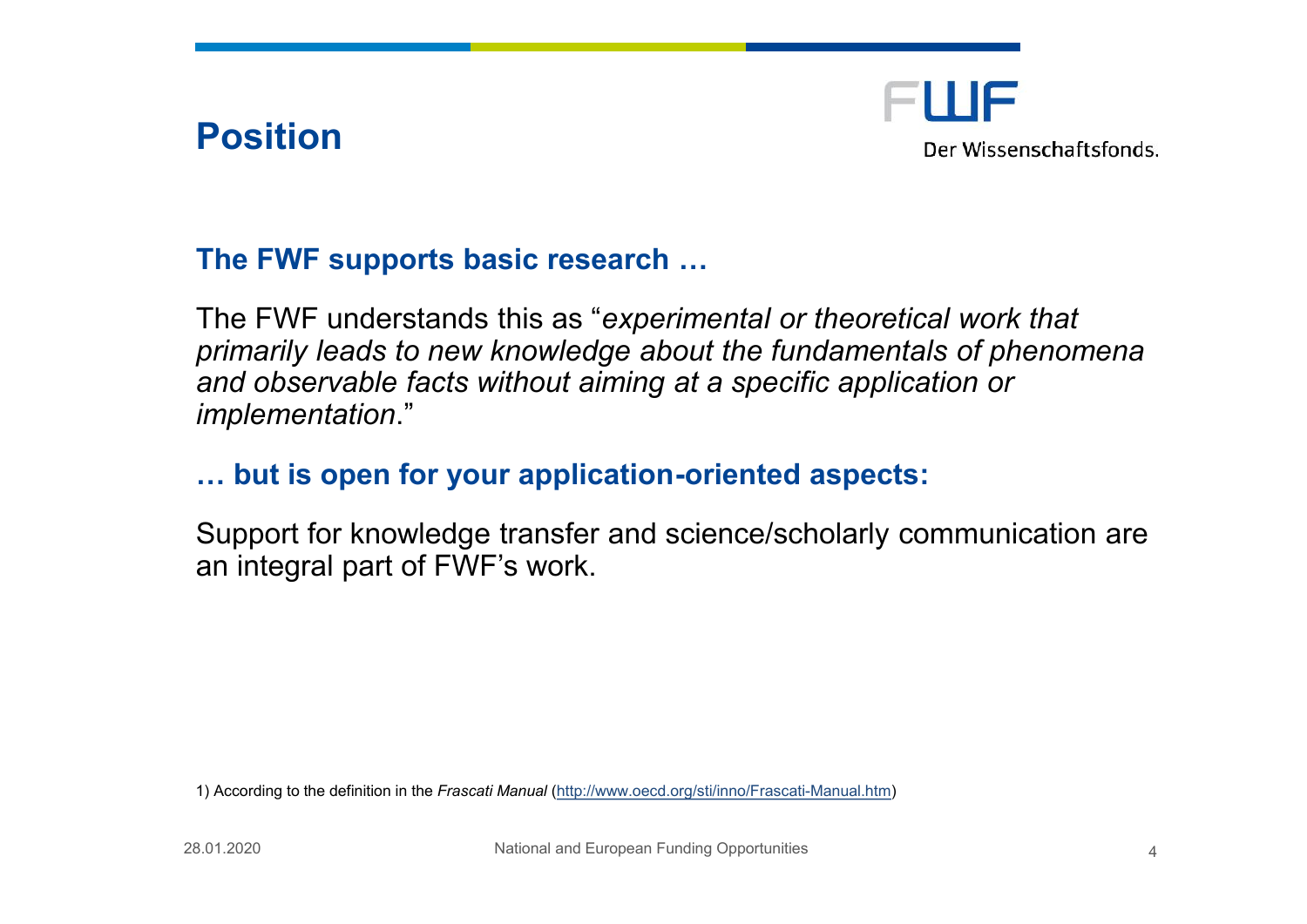Position

#### The FWE sports as incesear & h

The FWF understands potention and or theoretical work that primarily leads to new knowledge about the fund and observable facts without aiming at a specific implementation .

#### & but is open for your apported do aspects

Support for knowledge transfer and science/scho an integral part of FWF s work.

1)According tho definitimont hFerasc Matrinu (http://www.oecd.org/sti-Manual Finlatsmoati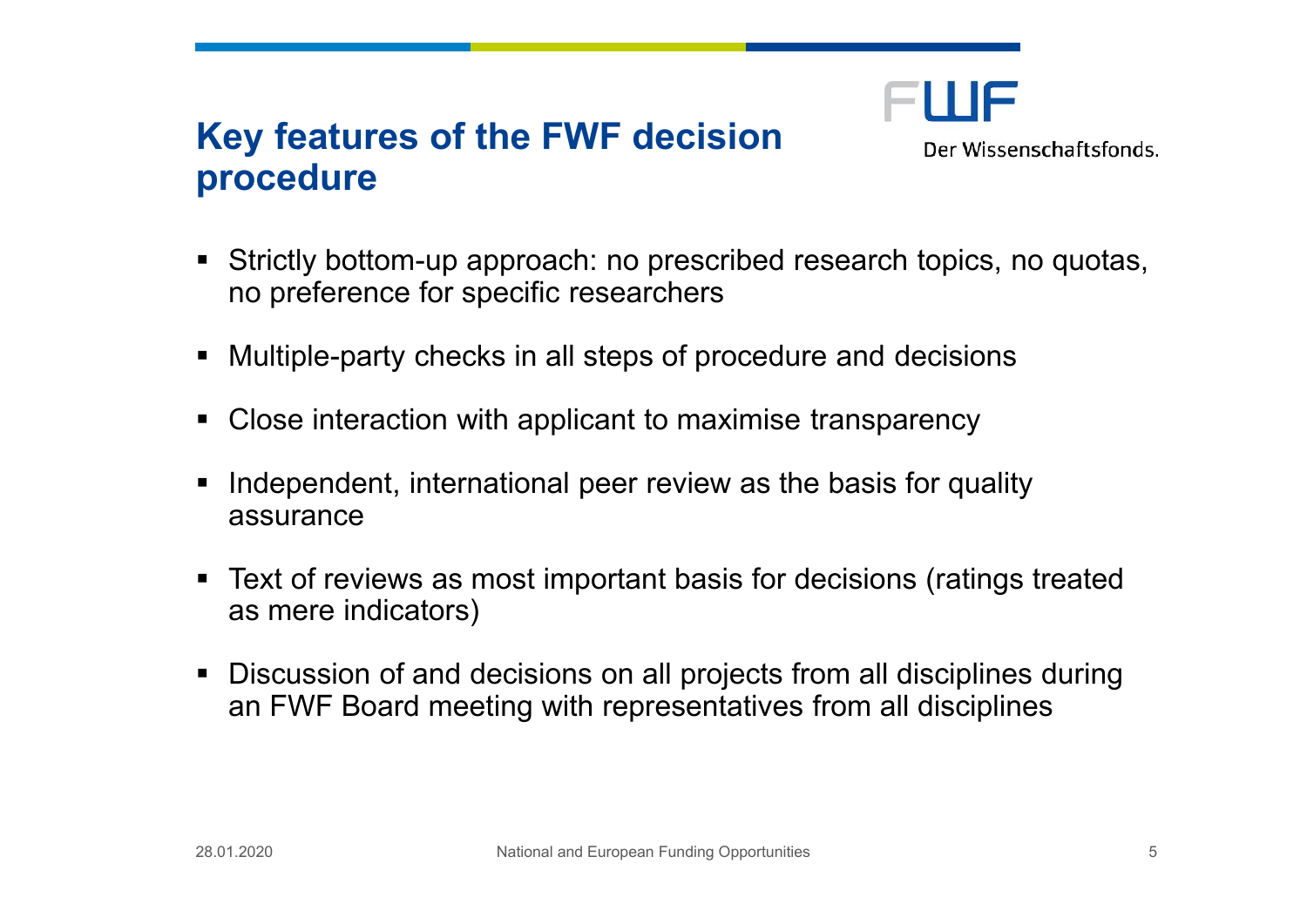## **Key features of the FWF decision procedure**



- Strictly bottom-up approach: no prescribed research topics, no quotas, no preference for specific researchers
- Multiple-party checks in all steps of procedure and decisions
- Close interaction with applicant to maximise transparency
- I Independent, international peer review as the basis for quality assurance
- Text of reviews as most important basis for decisions (ratings treated as mere indicators)
- Discussion of and decisions on all projects from all disciplines during an FWF Board meeting with representatives from all disciplines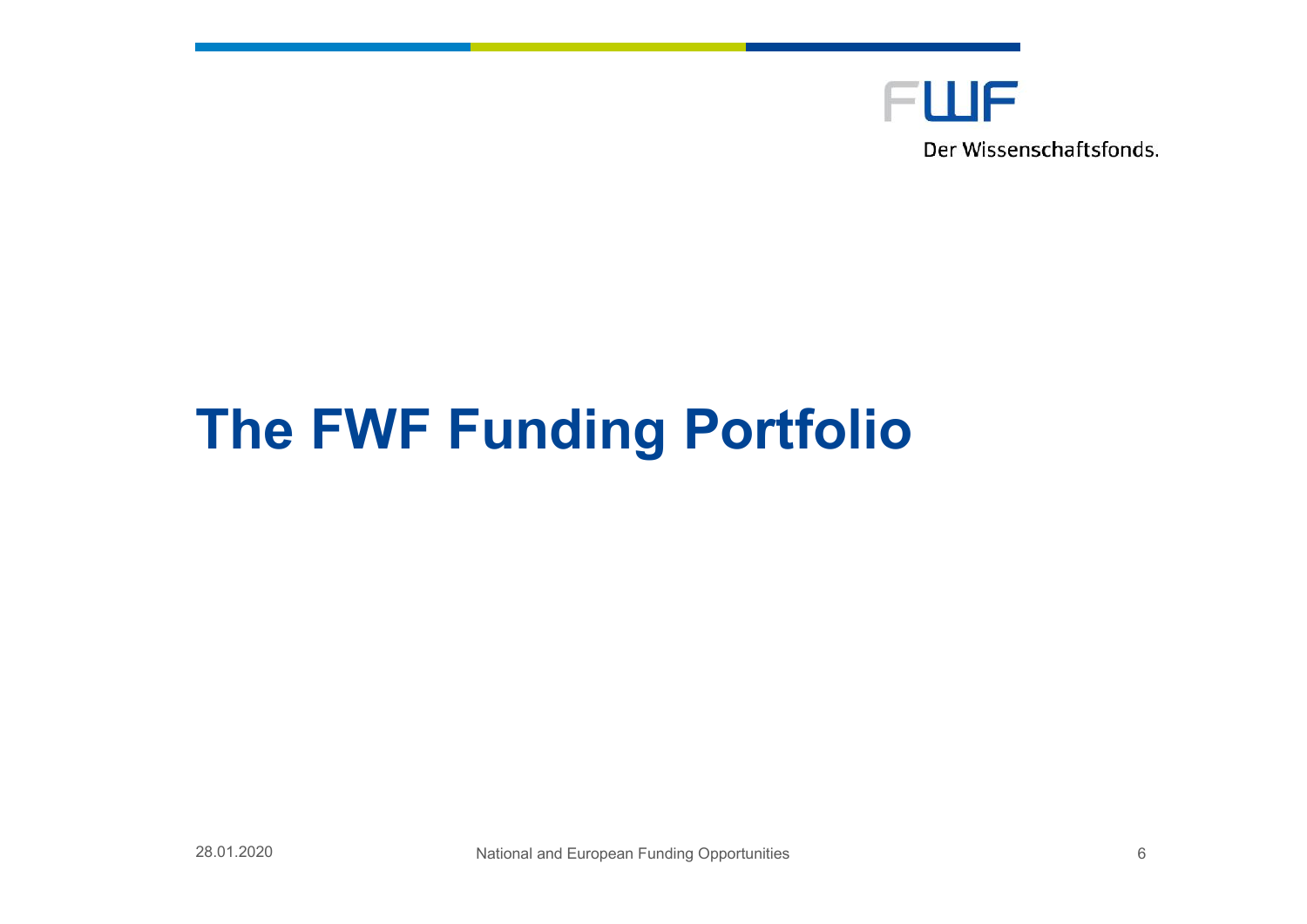

# **The FWF Funding Portfolio**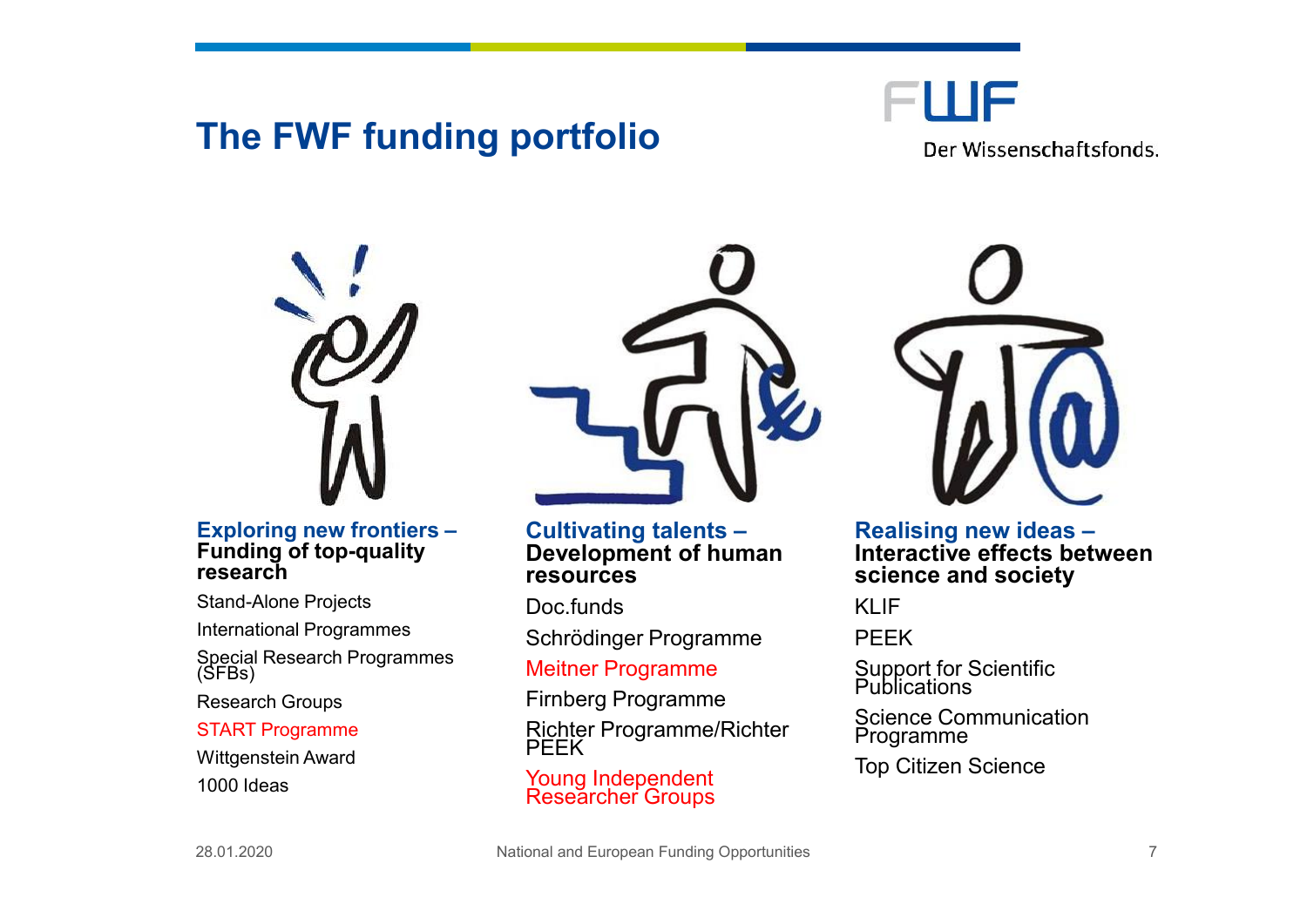## **The FWF funding portfolio**

FWF

Der Wissenschaftsfonds.



#### **Exploring new frontiers – Funding of top-quality research**

Stand-Alone Projects

International Programmes

Special Research Programmes (SFBs)

Research Groups

#### START Programme

Wittgenstein Award 1000 Ideas



**Cultivating talents – Development of human resources**

Doc. funds

Schrödinger Programme

Meitner Programme

Firnberg Programme

Richter Programme/Richter PEEK

Young Independent Researcher Groups



**Realising new ideas – Interactive effects between science and society**

KI IF

PEEK

Support for Scientific Publications

Science Communication Programme

Top Citizen Science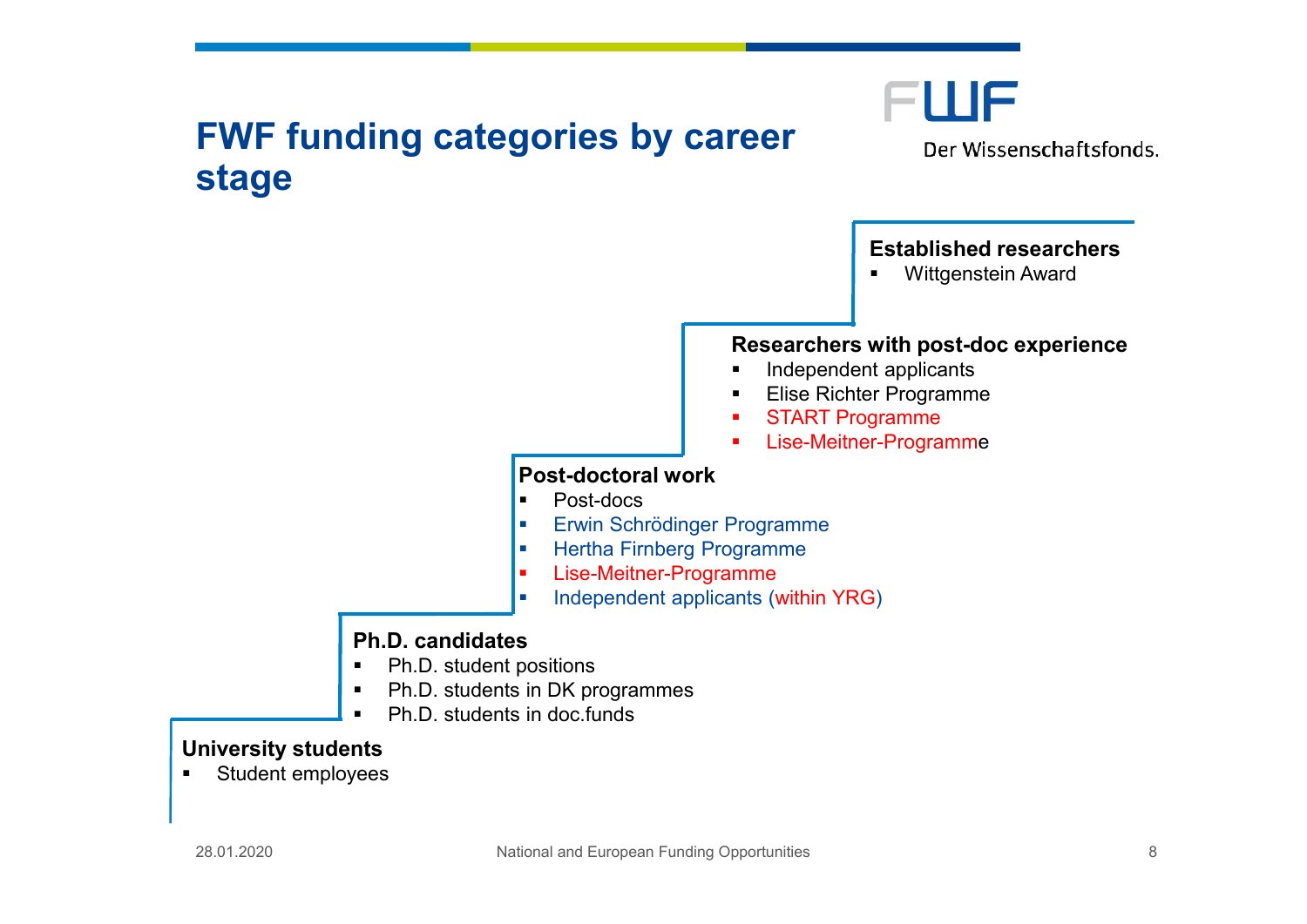## **FWF funding categories by career stage**



Der Wissenschaftsfonds.

#### **Established researchers**

**•** Wittgenstein Award

#### **Researchers with post-doc experience**

- **Independent applicants**
- **Elise Richter Programme**
- **START Programme**
- **Lise-Meitner-Programme**

#### **Post-doctoral work**

- **Post-docs**
- **Erwin Schrödinger Programme**
- **-** Hertha Firnberg Programme
- Lise-Meitner-Programme
- Independent applicants (within YRG)

#### **Ph.D. candidates**

- Ph.D. student positions
- Ph.D. students in DK programmes
- Ph.D. students in doc.funds

#### **University students**

**Student employees**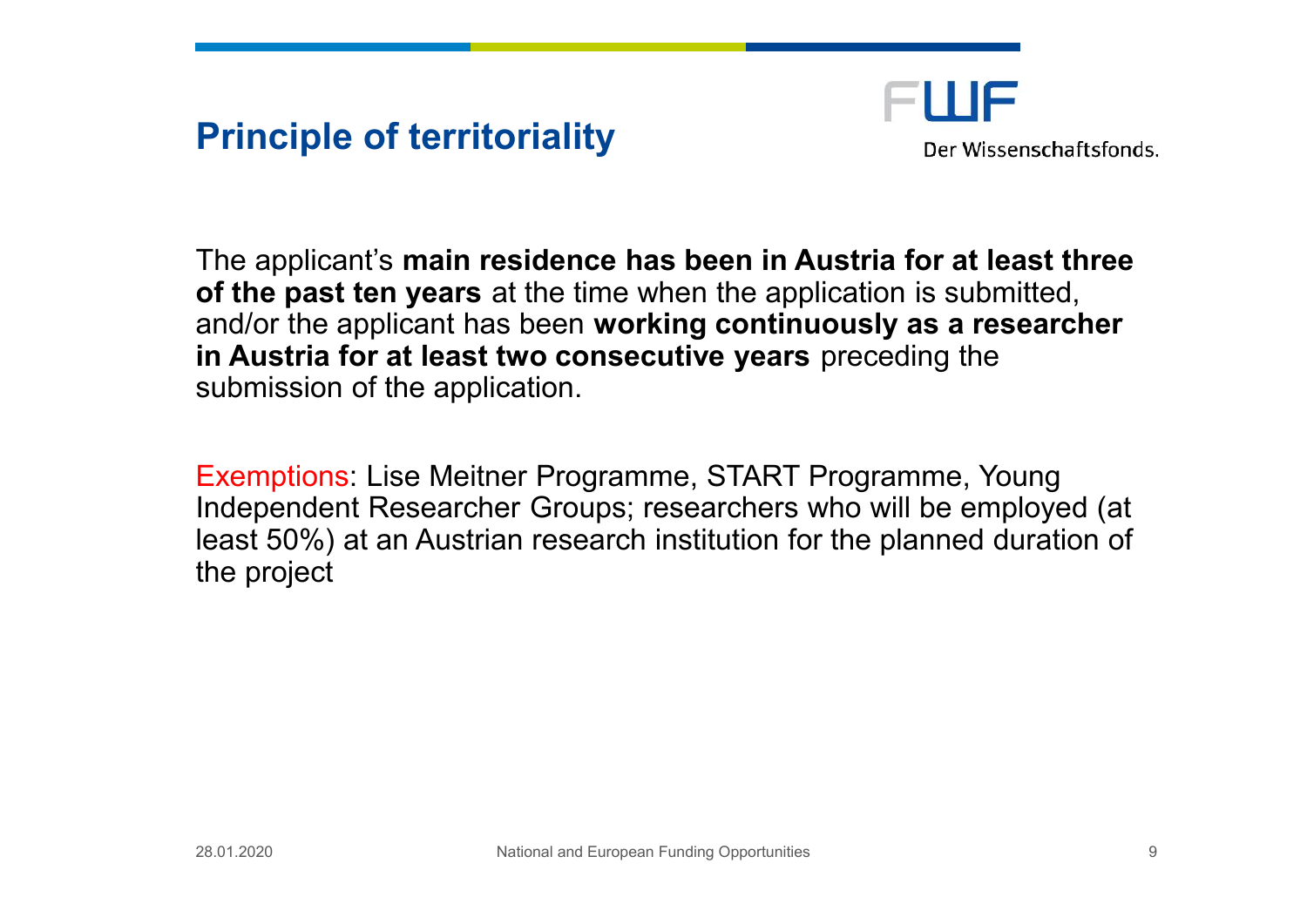## **Principle of territoriality**



The applicant's **main residence has been in Austria for at least three of the past ten years** at the time when the application is submitted, and/or the applicant has been **working continuously as a researcher in Austria for at least two consecutive years** preceding the submission of the application.

Exemptions: Lise Meitner Programme, START Programme, Young Independent Researcher Groups; researchers who will be employed (at least 50%) at an Austrian research institution for the planned duration of the project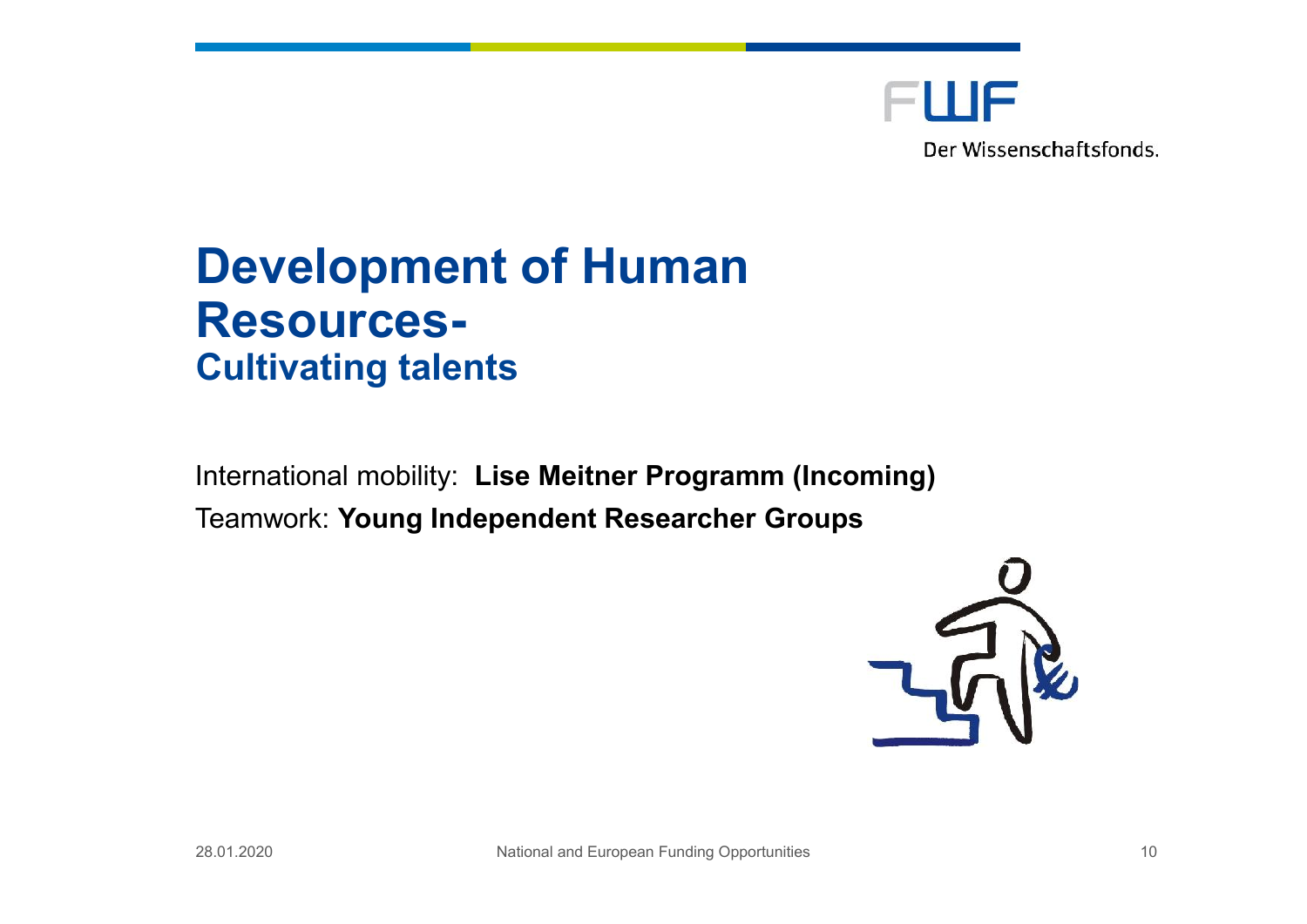

## **Development of Human Resources-Cultivating talents**

International mobility: **Lise Meitner Programm (Incoming)** Teamwork: **Young Independent Researcher Groups**

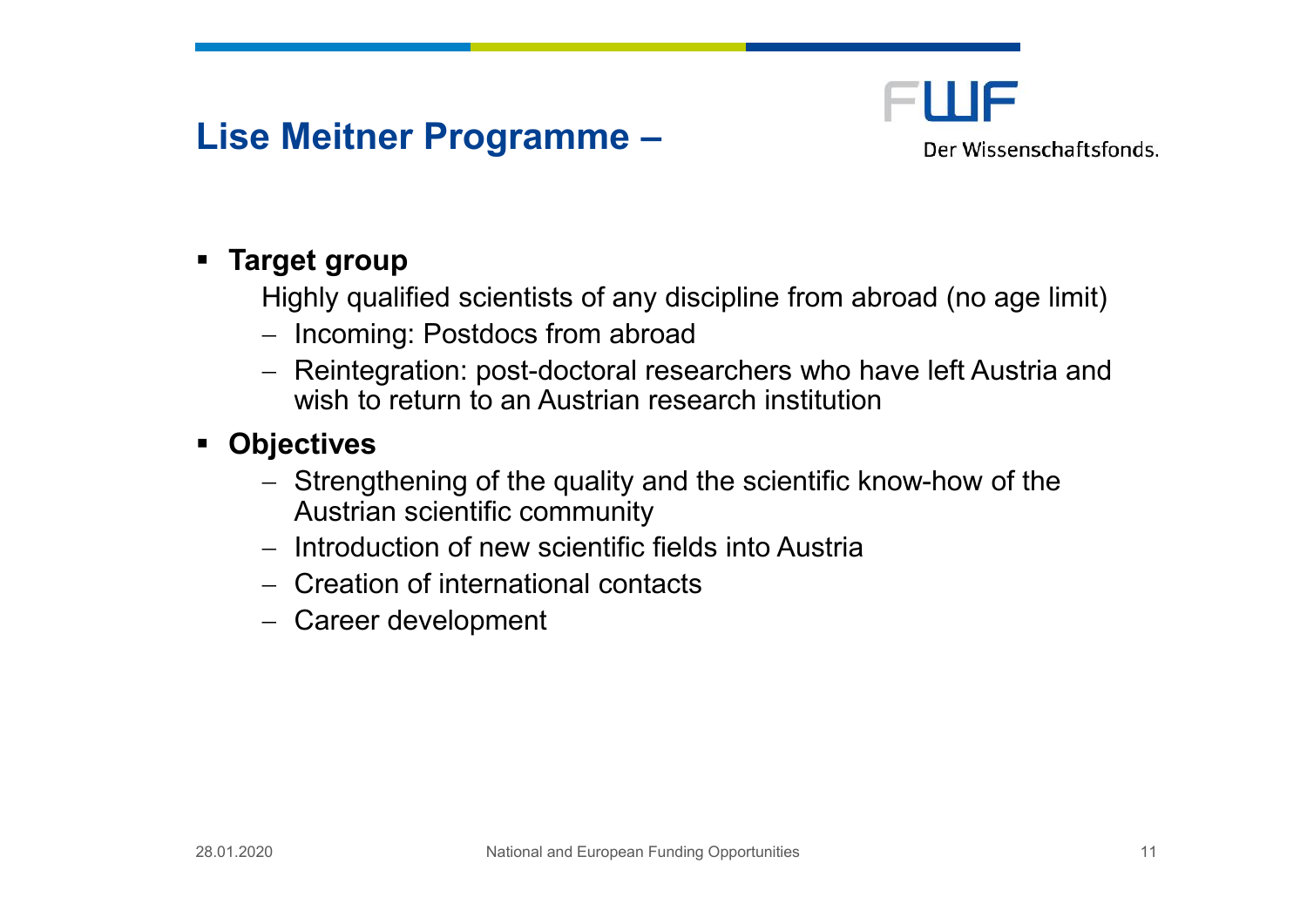## **Lise Meitner Programme –**



#### **Target group**

Highly qualified scientists of any discipline from abroad (no age limit)

- Incoming: Postdocs from abroad
- Reintegration: post-doctoral researchers who have left Austria and wish to return to an Austrian research institution
- **Objectives**
	- Strengthening of the quality and the scientific know-how of the Austrian scientific community
	- $-$  Introduction of new scientific fields into Austria
	- Creation of international contacts
	- Career development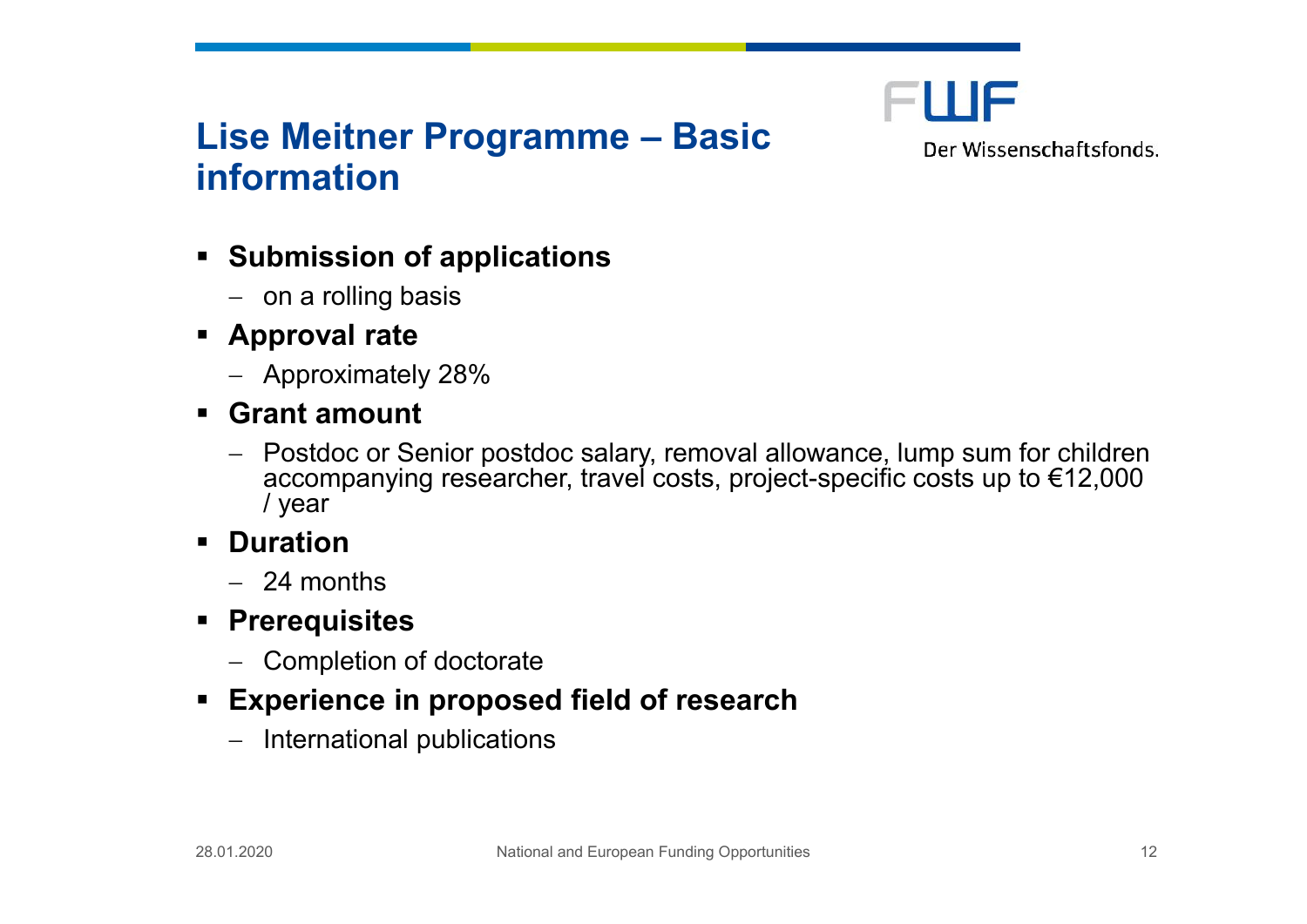

## **Lise Meitner Programme – Basic information**

Der Wissenschaftsfonds.

- **Submission of applications**
	- $-$  on a rolling basis
- **Approval rate**
	- Approximately 28%
- **Grant amount**
	- Postdoc or Senior postdoc salary, removal allowance, lump sum for children accompanying researcher, travel costs, project-specific costs up to €12,000 / year
- **Duration**
	- $-24$  months
- **Prerequisites**
	- Completion of doctorate
- **Experience in proposed field of research**
	- $-$  International publications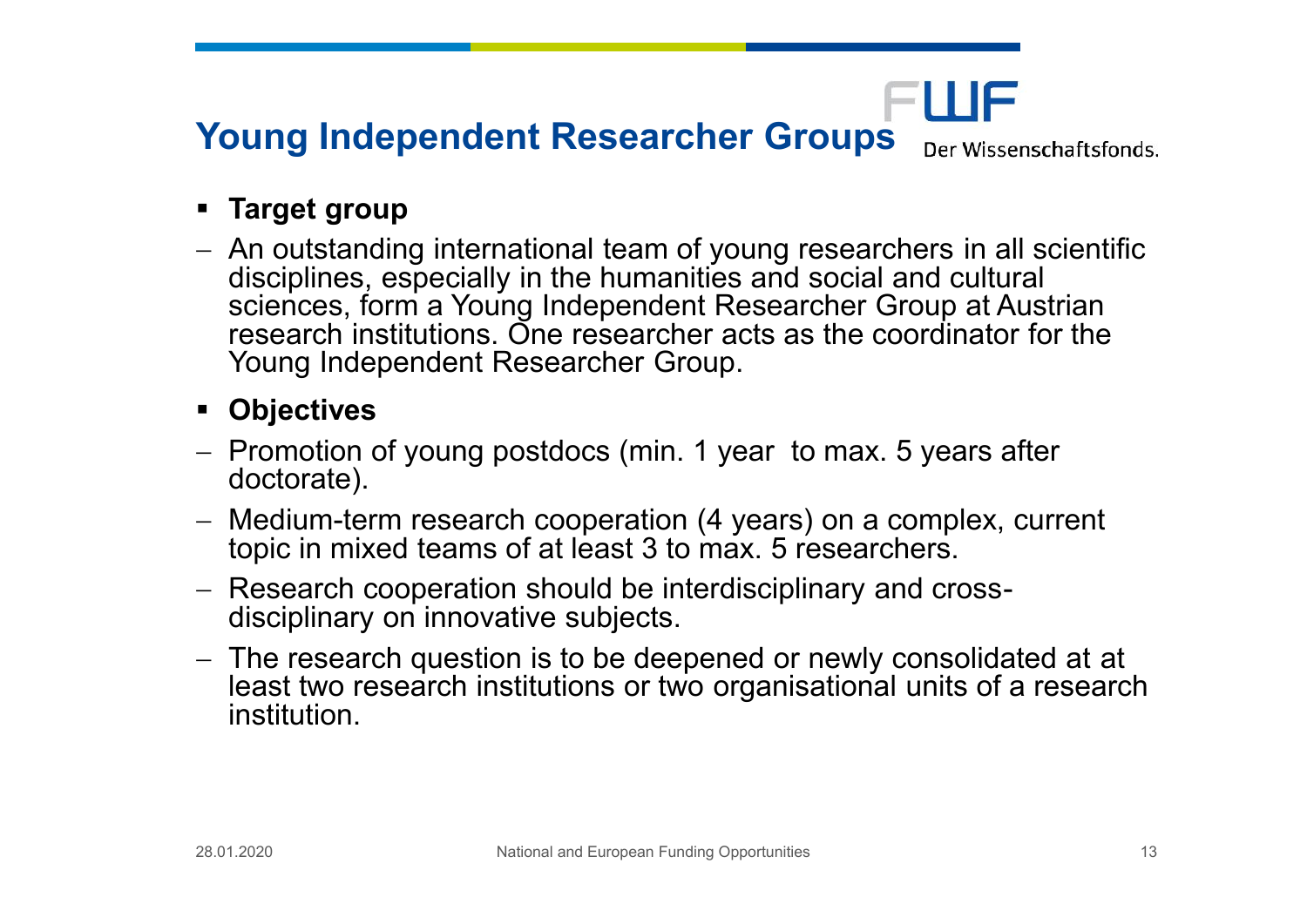## **Young Independent Researcher Groups**

Der Wissenschaftsfonds.

FWF

#### **Target group**

 An outstanding international team of young researchers in all scientific disciplines, especially in the humanities and social and cultural sciences, form a Young Independent Researcher Group at Austrian research institutions. One researcher acts as the coordinator for the Young Independent Researcher Group.

#### **Objectives**

- Promotion of young postdocs (min. 1 year to max. 5 years after doctorate).
- Medium-term research cooperation (4 years) on a complex, current topic in mixed teams of at least 3 to max. 5 researchers.
- Research cooperation should be interdisciplinary and crossdisciplinary on innovative subjects.
- The research question is to be deepened or newly consolidated at at least two research institutions or two organisational units of a research institution.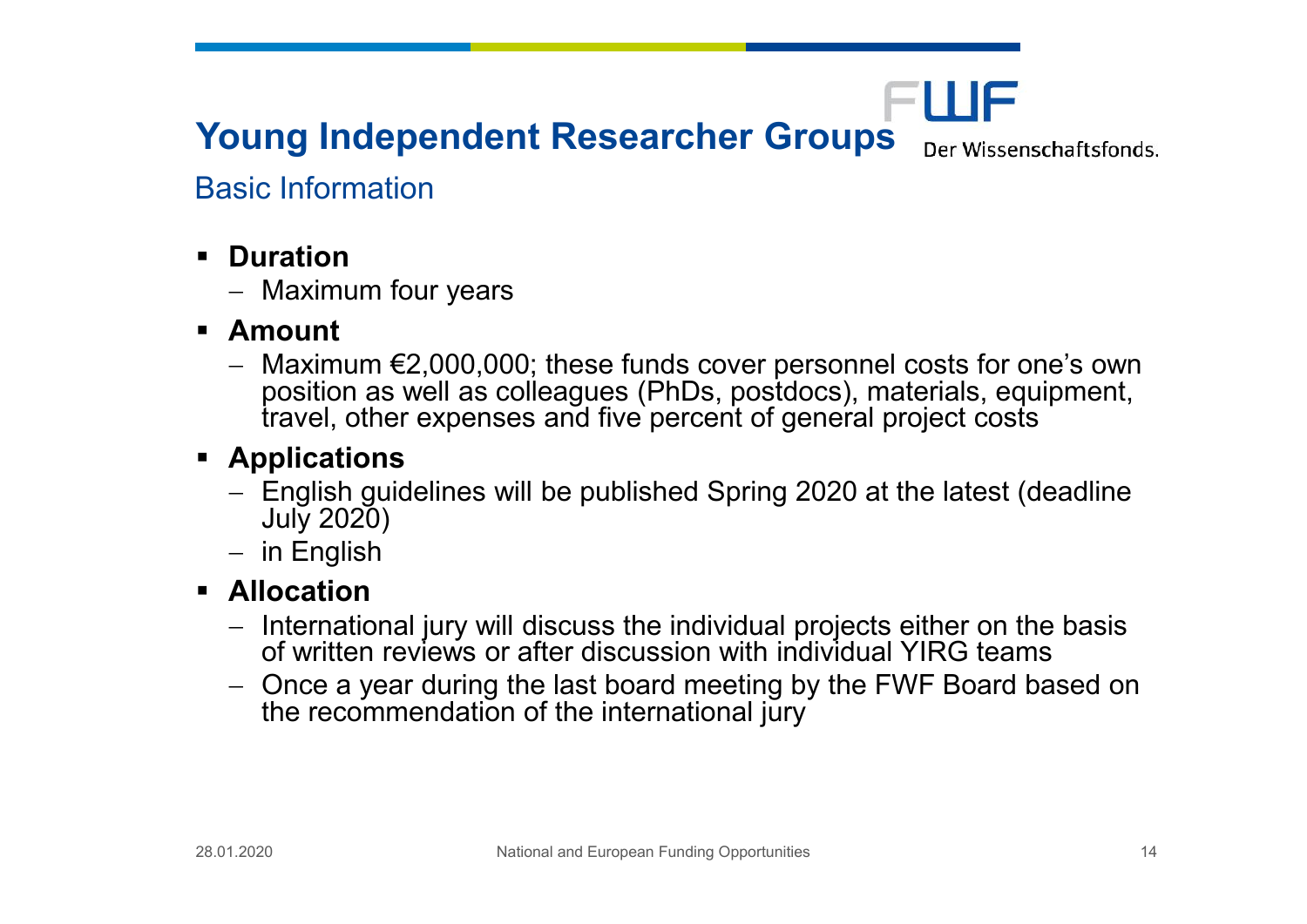## **Young Independent Researcher Groups**

Der Wissenschaftsfonds.

FWF

#### Basic Information

- **Duration**
	- Maximum four years
- **Amount**
	- $-Maximum \leq 2,000,000$ ; these funds cover personnel costs for one's own position as well as colleagues (PhDs, postdocs), materials, equipment, travel, other expenses and five percent of general project costs

#### **Applications**

- English guidelines will be published Spring 2020 at the latest (deadline July 2020)
- $-$  in English

#### **Allocation**

- International jury will discuss the individual projects either on the basis of written reviews or after discussion with individual YIRG teams
- Once a year during the last board meeting by the FWF Board based on the recommendation of the international jury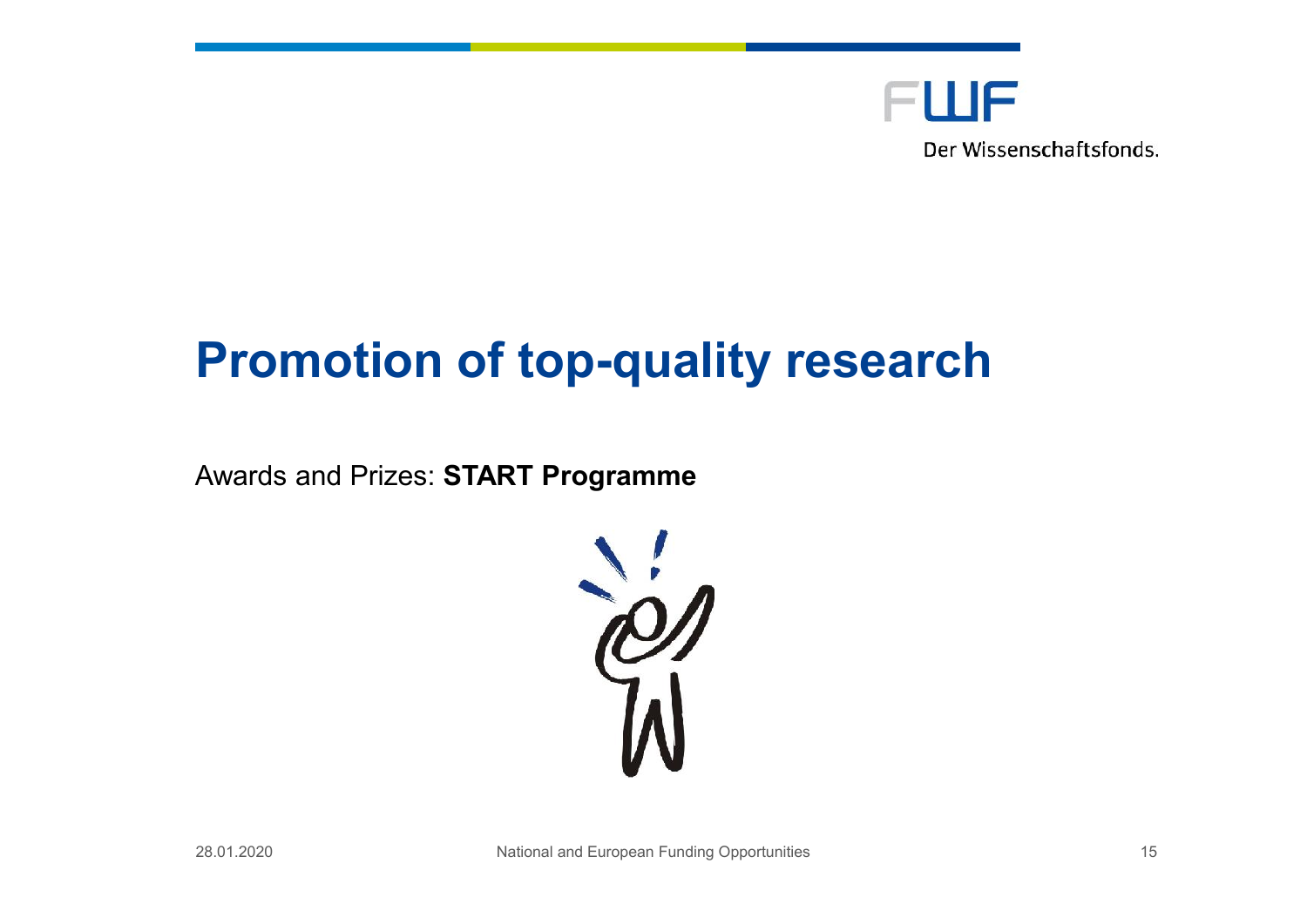

## **Promotion of top-quality research**

Awards and Prizes: **START Programme**

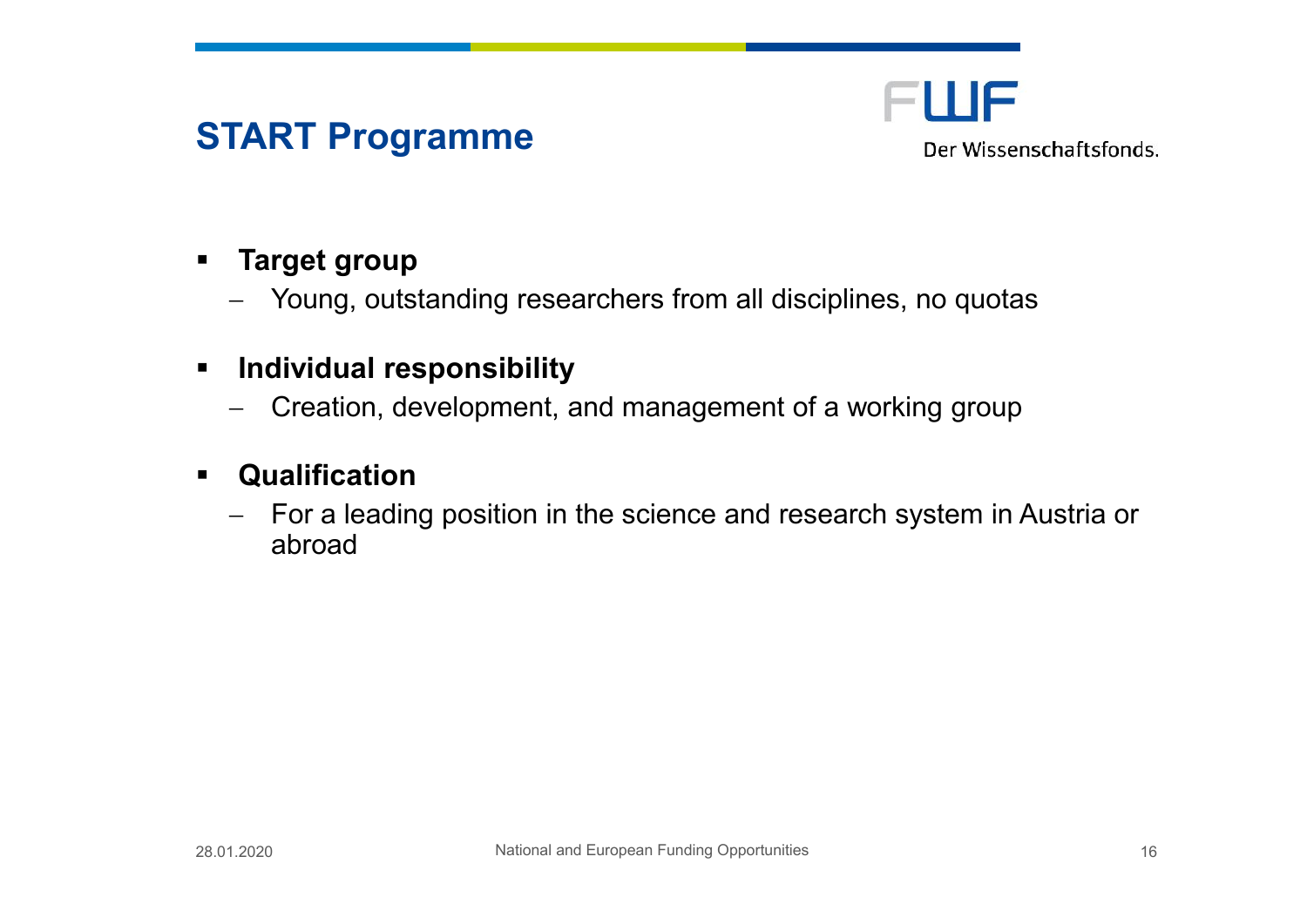## **START Programme**

FWF Der Wissenschaftsfonds.

#### **Target group**

- Young, outstanding researchers from all disciplines, no quotas

#### **Individual responsibility**

- Creation, development, and management of a working group

#### **Qualification**

- For a leading position in the science and research system in Austria or abroad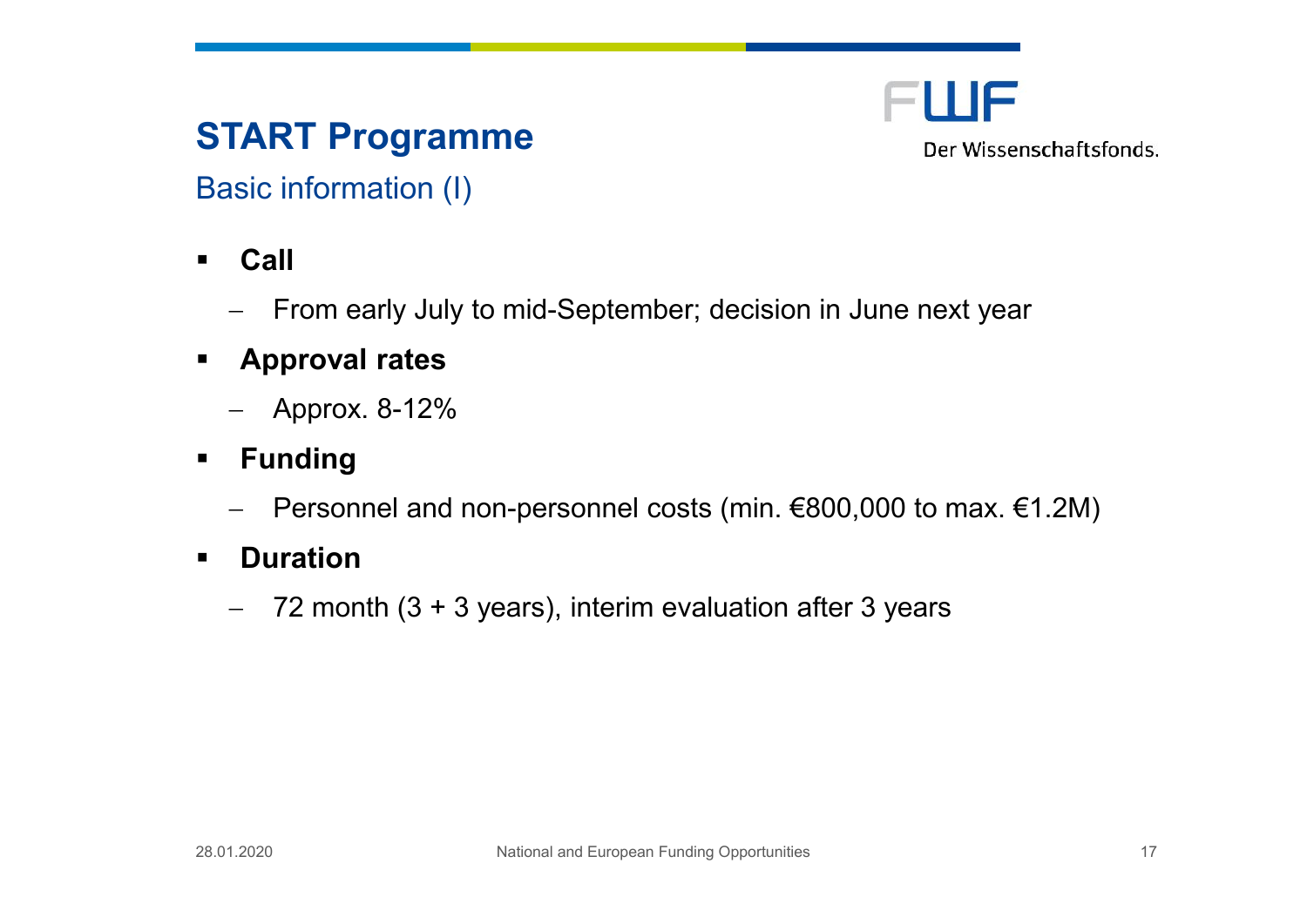## **START Programme**

FLUF Der Wissenschaftsfonds.

Basic information (I)

- **Call**
	- From early July to mid-September; decision in June next year
- **Approval rates**
	- Approx. 8-12%
- **Funding**
	- Personnel and non-personnel costs (min. €800,000 to max. €1.2M)
- **P** Duration
	- $-$  72 month (3 + 3 years), interim evaluation after 3 years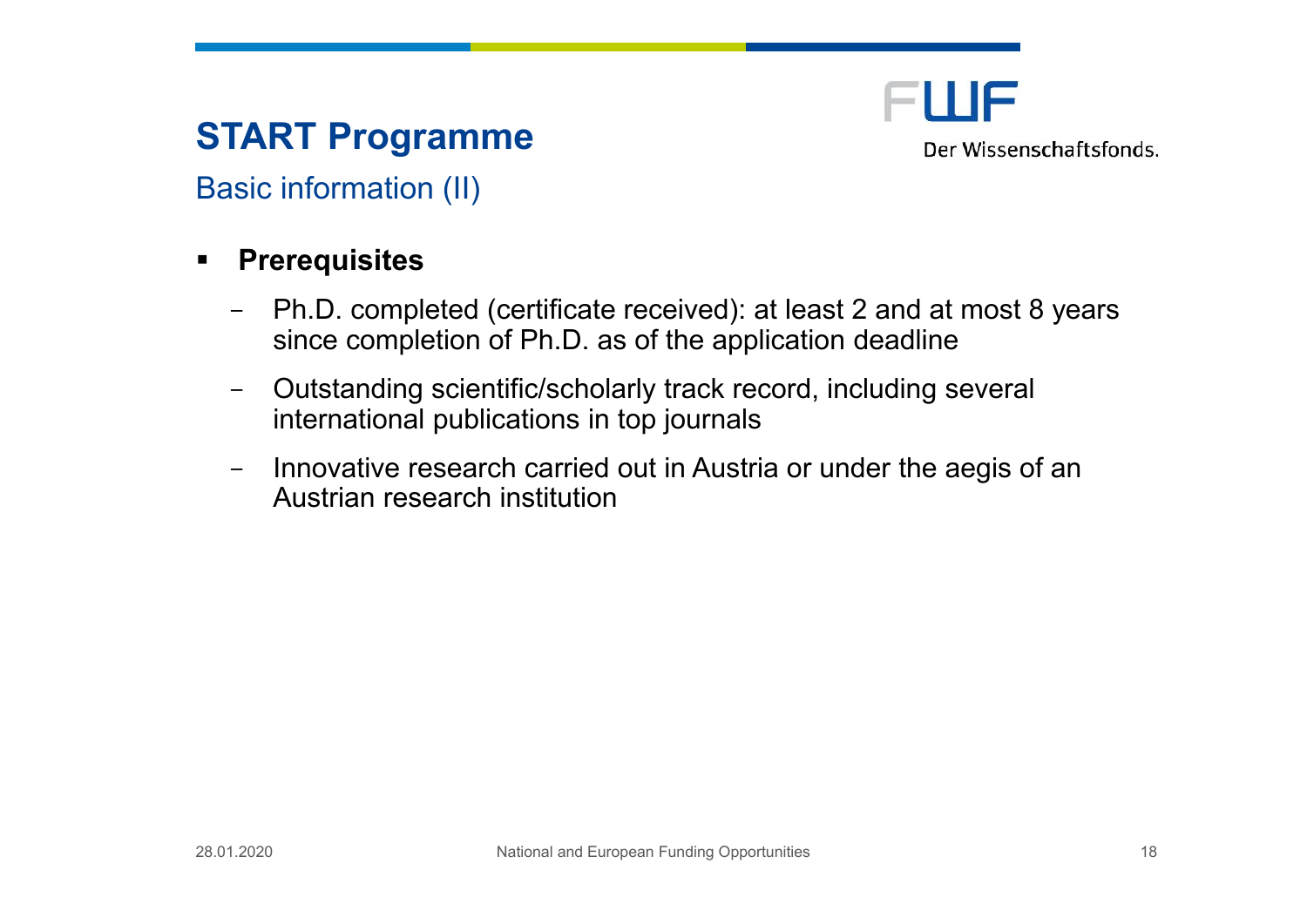## **START Programme**



Basic information (II)

#### **Prerequisites**

- Ph.D. completed (certificate received): at least 2 and at most 8 years since completion of Ph.D. as of the application deadline
- Outstanding scientific/scholarly track record, including several international publications in top journals
- Innovative research carried out in Austria or under the aegis of an Austrian research institution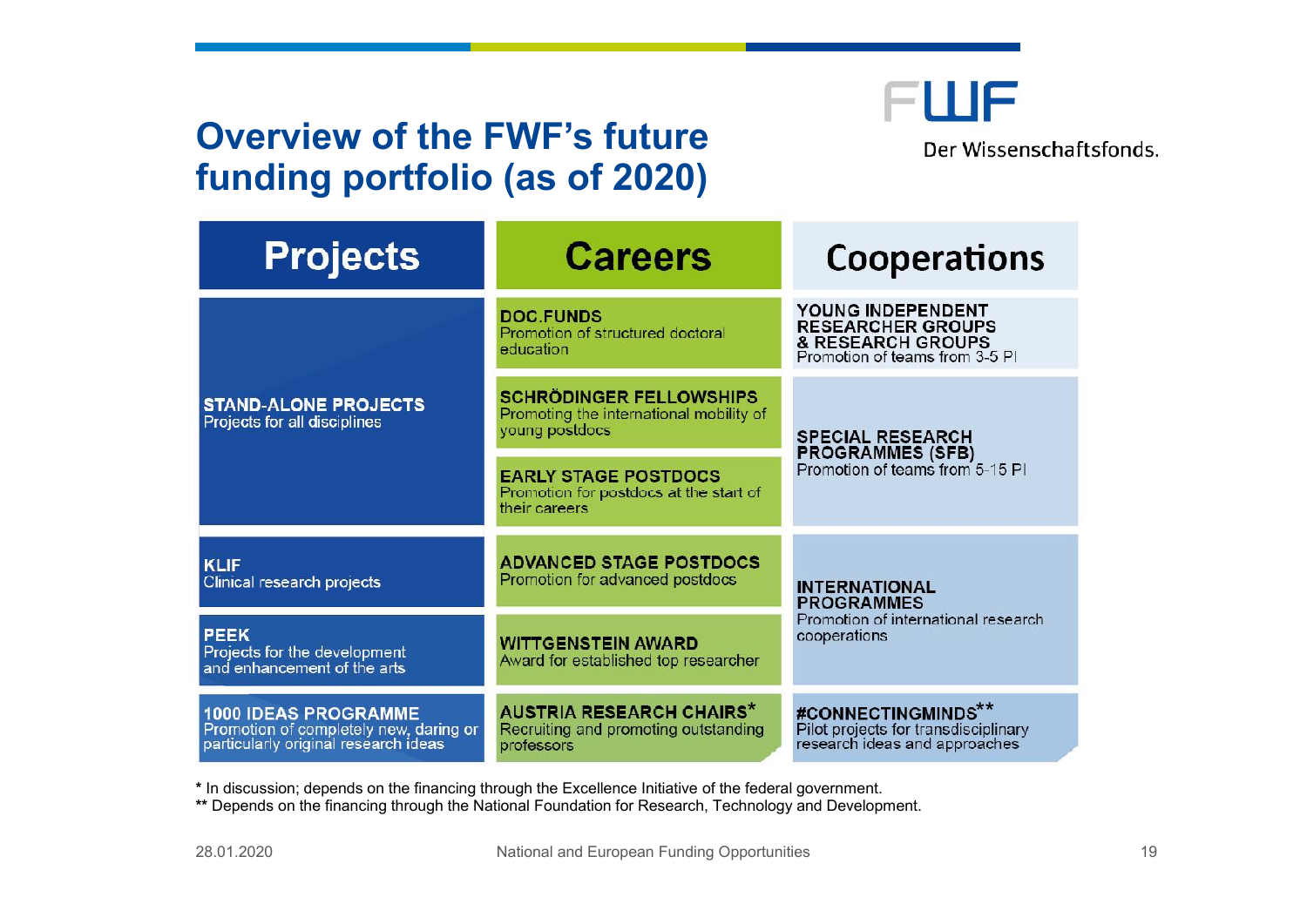## **Overview of the FWF's future funding portfolio (as of 2020)**



Der Wissenschaftsfonds.

| <b>Projects</b>                                                                                               | <b>Careers</b>                                                                              | Cooperations                                                                                         |
|---------------------------------------------------------------------------------------------------------------|---------------------------------------------------------------------------------------------|------------------------------------------------------------------------------------------------------|
| <b>STAND-ALONE PROJECTS</b><br>Projects for all disciplines                                                   | <b>DOC.FUNDS</b><br>Promotion of structured doctoral<br>education                           | YOUNG INDEPENDENT<br><b>RESEARCHER GROUPS</b><br>& RESEARCH GROUPS<br>Promotion of teams from 3-5 PI |
|                                                                                                               | <b>SCHRÖDINGER FELLOWSHIPS</b><br>Promoting the international mobility of<br>young postdocs | <b>SPECIAL RESEARCH</b><br><b>PROGRAMMES (SFB)</b><br>Promotion of teams from 5-15 PI                |
|                                                                                                               | <b>EARLY STAGE POSTDOCS</b><br>Promotion for postdocs at the start of<br>their careers      |                                                                                                      |
| <b>KLIF</b><br>Clinical research projects                                                                     | <b>ADVANCED STAGE POSTDOCS</b><br>Promotion for advanced postdocs                           | <b>INTERNATIONAL</b><br><b>PROGRAMMES</b><br>Promotion of international research<br>cooperations     |
| <b>PEEK</b><br>Projects for the development<br>and enhancement of the arts                                    | <b>WITTGENSTEIN AWARD</b><br>Award for established top researcher                           |                                                                                                      |
| <b>1000 IDEAS PROGRAMME</b><br>Promotion of completely new, daring or<br>particularly original research ideas | <b>AUSTRIA RESEARCH CHAIRS*</b><br>Recruiting and promoting outstanding<br>professors       | #CONNECTINGMINDS**<br>Pilot projects for transdisciplinary<br>research ideas and approaches          |

**\*** In discussion; depends on the financing through the Excellence Initiative of the federal government.

**\*\*** Depends on the financing through the National Foundation for Research, Technology and Development.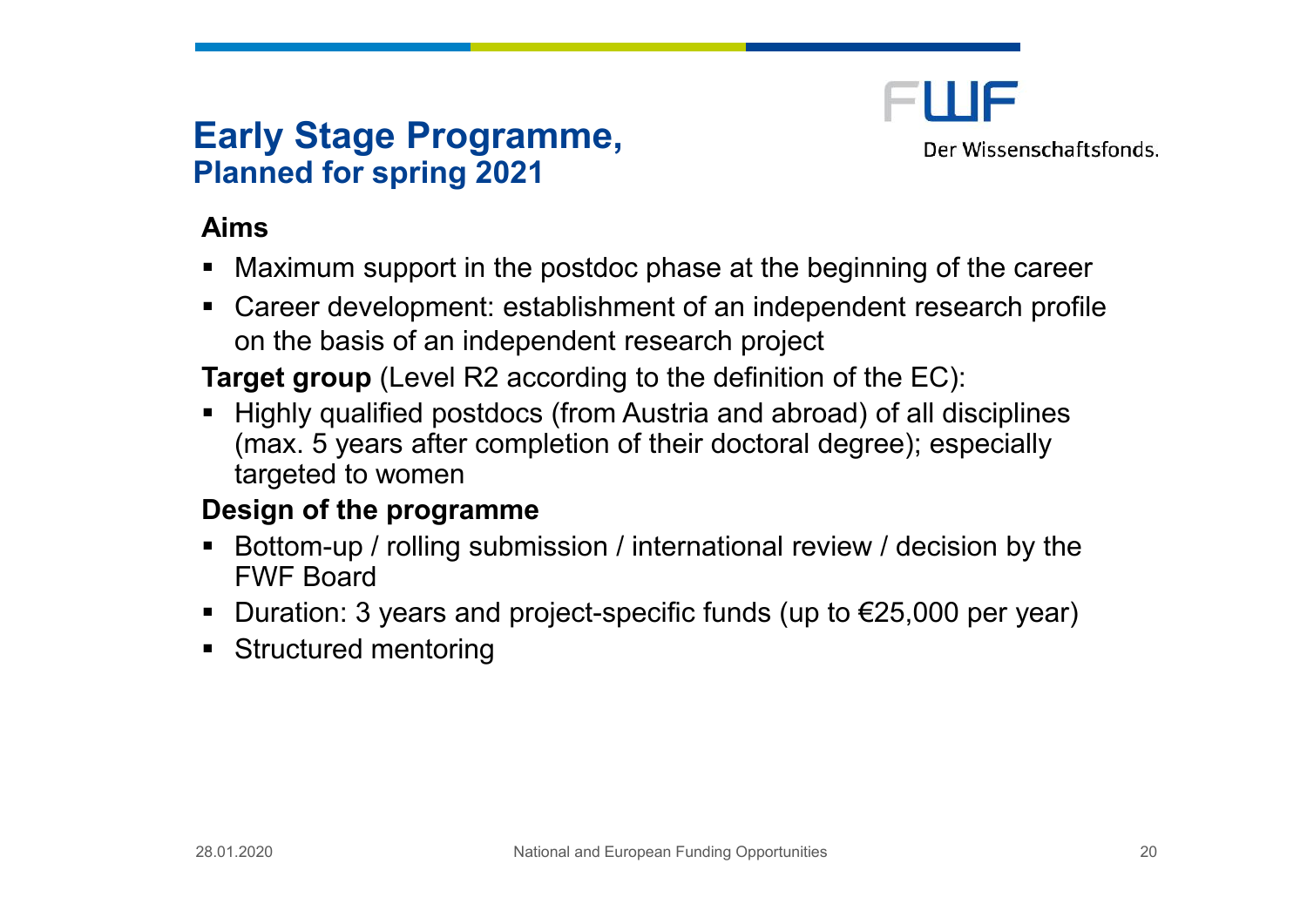### **Early Stage Programme, Planned for spring 2021**

FIIIF Der Wissenschaftsfonds.

#### **Aims**

- Maximum support in the postdoc phase at the beginning of the career
- Career development: establishment of an independent research profile on the basis of an independent research project

**Target group** (Level R2 according to the definition of the EC):

■ Highly qualified postdocs (from Austria and abroad) of all disciplines (max. 5 years after completion of their doctoral degree); especially targeted to women

#### **Design of the programme**

- Bottom-up / rolling submission / international review / decision by the FWF Board
- Duration: 3 years and project-specific funds (up to  $\epsilon$ 25,000 per year)
- **Structured mentoring**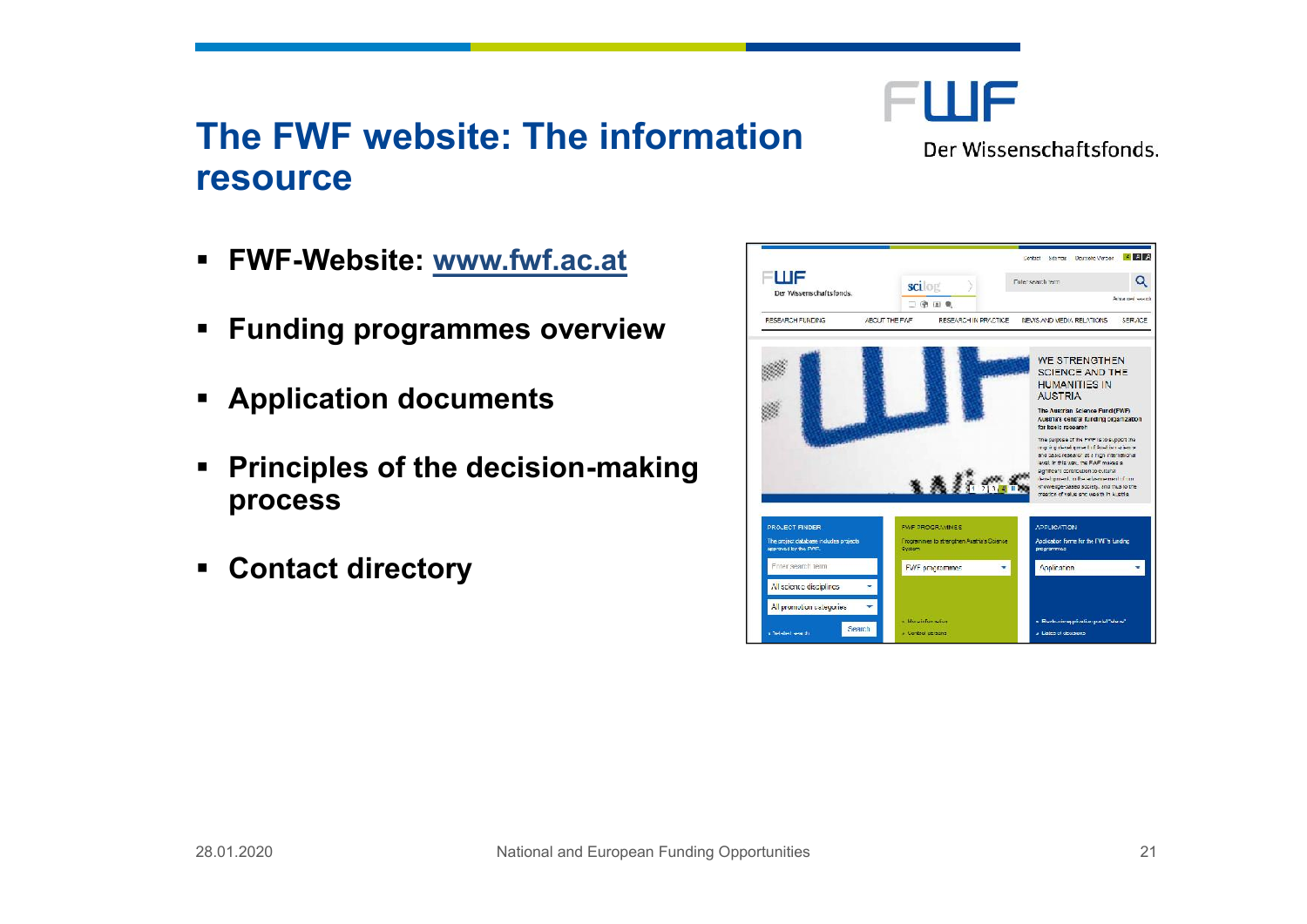## The FWF webTshidenformation resource

| ð§ FW FW e b s i tvew w . f w f . a c . a t              |  |
|----------------------------------------------------------|--|
| ð§ Fundinog ogram moevse rview                           |  |
| <u>ð§ Applicatdooncuments</u>                            |  |
| $\delta \S$ Principles of the -chead is night<br>process |  |
| ð§ Conta <b>d</b> trectory                               |  |
|                                                          |  |